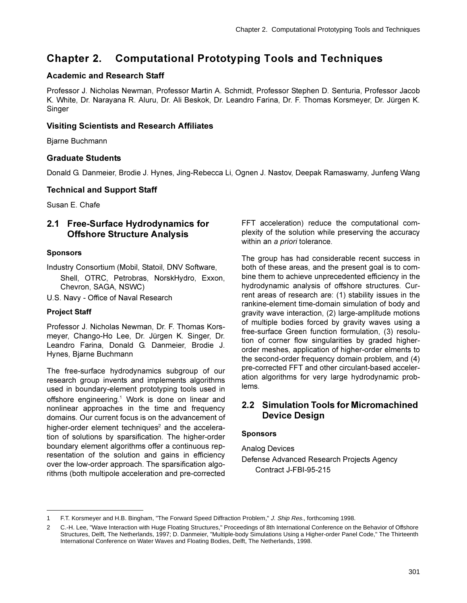# **Chapter 2. Computational Prototyping Tools and Techniques**

## **Academic and Research Staff**

Professor J. Nicholas Newman, Professor Martin A. Schmidt, Professor Stephen D. Senturia, Professor Jacob K. White, Dr. Narayana R. Aluru, Dr. Ali Beskok, Dr. Leandro Farina, Dr. F. Thomas Korsmeyer, Dr. Jürgen K. Singer

### **Visiting Scientists and Research Affiliates**

Bjarne Buchmann

### **Graduate Students**

Donald G. Danmeier, Brodie J. Hynes, Jing-Rebecca Li, Ognen J. Nastov, Deepak Ramaswamy, Junfeng Wang

### **Technical and Support Staff**

Susan E. Chafe

# 2.1 Free-Surface Hydrodynamics for **Offshore Structure Analysis**

#### **Sponsors**

Industry Consortium (Mobil, Statoil, DNV Software, Shell, OTRC, Petrobras, NorskHydro, Exxon, Chevron, SAGA, NSWC)

U.S. Navy - Office of Naval Research

### **Project Staff**

Professor J. Nicholas Newman, Dr. F. Thomas Korsmeyer, Chango-Ho Lee, Dr. Jürgen K. Singer, Dr. Leandro Farina, Donald G. Danmeier, Brodie J. Hynes, Bjarne Buchmann

The free-surface hydrodynamics subgroup of our research group invents and implements algorithms used in boundary-element prototyping tools used in offshore engineering.<sup>1</sup> Work is done on linear and nonlinear approaches in the time and frequency domains. Our current focus is on the advancement of higher-order element techniques<sup>2</sup> and the acceleration of solutions by sparsification. The higher-order boundary element algorithms offer a continuous representation of the solution and gains in efficiency over the low-order approach. The sparsification algorithms (both multipole acceleration and pre-corrected FFT acceleration) reduce the computational complexity of the solution while preserving the accuracy within an a priori tolerance.

The group has had considerable recent success in both of these areas, and the present goal is to combine them to achieve unprecedented efficiency in the hydrodynamic analysis of offshore structures. Current areas of research are: (1) stability issues in the rankine-element time-domain simulation of body and gravity wave interaction, (2) large-amplitude motions of multiple bodies forced by gravity waves using a free-surface Green function formulation, (3) resolution of corner flow singularities by graded higherorder meshes, application of higher-order elments to the second-order frequency domain problem, and (4) pre-corrected FFT and other circulant-based acceleration algorithms for very large hydrodynamic problems.

# 2.2 Simulation Tools for Micromachined **Device Design**

#### **Sponsors**

**Analog Devices** Defense Advanced Research Projects Agency Contract J-FBI-95-215

F.T. Korsmeyer and H.B. Bingham, "The Forward Speed Diffraction Problem," J. Ship Res., forthcoming 1998.  $\mathbf{1}$ 

C.-H. Lee, "Wave Interaction with Huge Floating Structures," Proceedings of 8th International Conference on the Behavior of Offshore  $\overline{2}$ Structures, Delft, The Netherlands, 1997; D. Danmeier, "Multiple-body Simulations Using a Higher-order Panel Code," The Thirteenth International Conference on Water Waves and Floating Bodies, Delft, The Netherlands, 1998.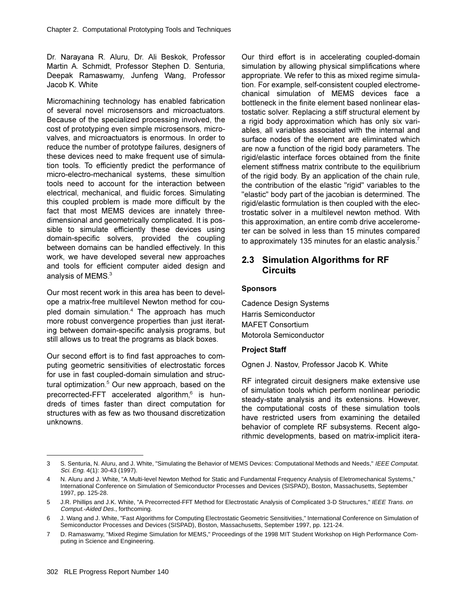Dr. Narayana R. Aluru, Dr. Ali Beskok, Professor Martin A. Schmidt, Professor Stephen D. Senturia, Deepak Ramaswamy, Junfeng Wang, Professor Jacob K. White

Micromachining technology has enabled fabrication of several novel microsensors and microactuators. Because of the specialized processing involved, the cost of prototyping even simple microsensors, microvalves, and microactuators is enormous. In order to reduce the number of prototype failures, designers of these devices need to make frequent use of simulation tools. To efficiently predict the performance of micro-electro-mechanical systems, these simultion tools need to account for the interaction between electrical, mechanical, and fluidic forces. Simulating this coupled problem is made more difficult by the fact that most MEMS devices are innately threedimensional and geometrically complicated. It is possible to simulate efficiently these devices using domain-specific solvers, provided the coupling between domains can be handled effectively. In this work, we have developed several new approaches and tools for efficient computer aided design and analysis of MEMS. $3$ 

Our most recent work in this area has been to develope a matrix-free multilevel Newton method for coupled domain simulation.<sup>4</sup> The approach has much more robust convergence properties than just iterating between domain-specific analysis programs, but still allows us to treat the programs as black boxes.

Our second effort is to find fast approaches to computing geometric sensitivities of electrostatic forces for use in fast coupled-domain simulation and structural optimization.<sup>5</sup> Our new approach, based on the precorrected-FFT accelerated algorithm,<sup>6</sup> is hundreds of times faster than direct computation for structures with as few as two thousand discretization unknowns.

Our third effort is in accelerating coupled-domain simulation by allowing physical simplifications where appropriate. We refer to this as mixed regime simulation. For example, self-consistent coupled electromechanical simulation of MEMS devices face a bottleneck in the finite element based nonlinear elastostatic solver. Replacing a stiff structural element by a rigid body approximation which has only six variables, all variables associated with the internal and surface nodes of the element are eliminated which are now a function of the rigid body parameters. The rigid/elastic interface forces obtained from the finite element stiffness matrix contribute to the equilibrium of the rigid body. By an application of the chain rule, the contribution of the elastic "rigid" variables to the "elastic" body part of the jacobian is determined. The rigid/elastic formulation is then coupled with the electrostatic solver in a multilevel newton method. With this approximation, an entire comb drive accelerometer can be solved in less than 15 minutes compared to approximately 135 minutes for an elastic analysis.<sup>7</sup>

# **2.3 Simulation Algorithms for RF Circuits**

#### **Sponsors**

Cadence Design Systems Harris Semiconductor MAFFT Consortium Motorola Semiconductor

#### **Project Staff**

Ognen J. Nastov, Professor Jacob K. White

RF integrated circuit designers make extensive use of simulation tools which perform nonlinear periodic steady-state analysis and its extensions. However, the computational costs of these simulation tools have restricted users from examining the detailed behavior of complete RF subsystems. Recent algorithmic developments, based on matrix-implicit itera-

<sup>3</sup> S. Senturia, N. Aluru, and J. White, "Simulating the Behavior of MEMS Devices: Computational Methods and Needs," IEEE Computat. Sci. Eng. 4(1): 30-43 (1997).

<sup>4</sup> N. Aluru and J. White, "A Multi-level Newton Method for Static and Fundamental Frequency Analysis of Eletromechanical Systems," International Conference on Simulation of Semiconductor Processes and Devices (SISPAD), Boston, Massachusetts, September 1997, pp. 125-28.

<sup>5</sup> J.R. Phillips and J.K. White, "A Precorrected-FFT Method for Electrostatic Analysis of Complicated 3-D Structures," IEEE Trans. on Comput.-Aided Des., forthcoming.

<sup>6</sup> J. Wang and J. White, "Fast Algorithms for Computing Electrostatic Geometric Sensitivities," International Conference on Simulation of Semiconductor Processes and Devices (SISPAD), Boston, Massachusetts, September 1997, pp. 121-24.

<sup>7</sup> D. Ramaswamy, "Mixed Regime Simulation for MEMS," Proceedings of the 1998 MIT Student Workshop on High Performance Computing in Science and Engineering.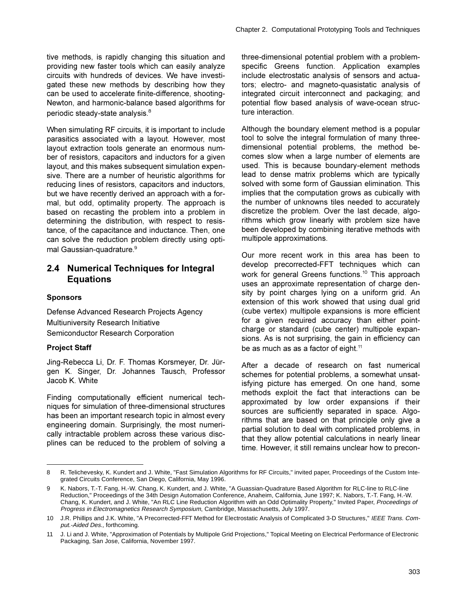tive methods, is rapidly changing this situation and providing new faster tools which can easily analyze circuits with hundreds of devices. We have investigated these new methods by describing how they can be used to accelerate finite-difference, shooting-Newton, and harmonic-balance based algorithms for periodic steady-state analysis.<sup>8</sup>

When simulating RF circuits, it is important to include parasitics associated with a layout. However, most layout extraction tools generate an enormous number of resistors, capacitors and inductors for a given layout, and this makes subsequent simulation expensive. There are a number of heuristic algorithms for reducing lines of resistors, capacitors and inductors, but we have recently derived an approach with a formal, but odd, optimality property. The approach is based on recasting the problem into a problem in determining the distribution, with respect to resistance, of the capacitance and inductance. Then, one can solve the reduction problem directly using optimal Gaussian-quadrature.<sup>9</sup>

# 2.4 Numerical Techniques for Integral **Equations**

#### **Sponsors**

Defense Advanced Research Projects Agency Multiuniversity Research Initiative Semiconductor Research Corporation

### **Project Staff**

Jing-Rebecca Li, Dr. F. Thomas Korsmeyer, Dr. Jürgen K. Singer, Dr. Johannes Tausch, Professor Jacob K. White

Finding computationally efficient numerical techniques for simulation of three-dimensional structures has been an important research topic in almost every engineering domain. Surprisingly, the most numerically intractable problem across these various discplines can be reduced to the problem of solving a three-dimensional potential problem with a problemspecific Greens function. Application examples include electrostatic analysis of sensors and actuators; electro- and magneto-quasistatic analysis of integrated circuit interconnect and packaging; and potential flow based analysis of wave-ocean structure interaction.

Although the boundary element method is a popular tool to solve the integral formulation of many threedimensional potential problems, the method becomes slow when a large number of elements are used. This is because boundary-element methods lead to dense matrix problems which are typically solved with some form of Gaussian elimination. This implies that the computation grows as cubically with the number of unknowns tiles needed to accurately discretize the problem. Over the last decade, algorithms which grow linearly with problem size have been developed by combining iterative methods with multipole approximations.

Our more recent work in this area has been to develop precorrected-FFT techniques which can work for general Greens functions.<sup>10</sup> This approach uses an approximate representation of charge density by point charges lying on a uniform grid. An extension of this work showed that using dual grid (cube vertex) multipole expansions is more efficient for a given required accuracy than either pointcharge or standard (cube center) multipole expansions. As is not surprising, the gain in efficiency can be as much as as a factor of eight.<sup>11</sup>

After a decade of research on fast numerical schemes for potential problems, a somewhat unsatisfying picture has emerged. On one hand, some methods exploit the fact that interactions can be approximated by low order expansions if their sources are sufficiently separated in space. Algorithms that are based on that principle only give a partial solution to deal with complicated problems, in that they allow potential calculations in nearly linear time. However, it still remains unclear how to precon-

R. Telichevesky, K. Kundert and J. White, "Fast Simulation Algorithms for RF Circuits," invited paper, Proceedings of the Custom Inte-8 grated Circuits Conference, San Diego, California, May 1996.

<sup>9</sup> K. Nabors, T.-T. Fang, H.-W. Chang, K. Kundert, and J. White, "A Guassian-Quadrature Based Algorithm for RLC-line to RLC-line Reduction," Proceedings of the 34th Design Automation Conference, Anaheim, California, June 1997; K. Nabors, T.-T. Fang, H.-W. Chang, K. Kundert, and J. White, "An RLC Line Reduction Algorithm with an Odd Optimality Property," Invited Paper, Proceedings of Progress in Electromagnetics Research Symposium, Cambridge, Massachusetts, July 1997.

<sup>10</sup> J.R. Phillips and J.K. White, "A Precorrected-FFT Method for Electrostatic Analysis of Complicated 3-D Structures," IEEE Trans. Comput.-Aided Des., forthcoming.

<sup>11</sup> J. Li and J. White, "Approximation of Potentials by Multipole Grid Projections," Topical Meeting on Electrical Performance of Electronic Packaging, San Jose, California, November 1997.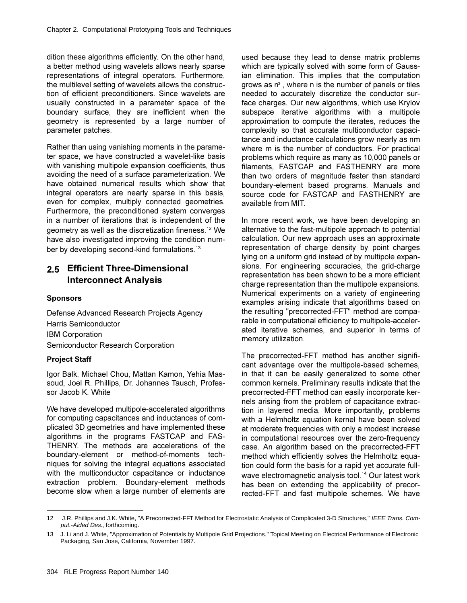dition these algorithms efficiently. On the other hand, a better method using wavelets allows nearly sparse representations of integral operators. Furthermore, the multilevel setting of wavelets allows the construction of efficient preconditioners. Since wavelets are usually constructed in a parameter space of the boundary surface, they are inefficient when the geometry is represented by a large number of parameter patches.

Rather than using vanishing moments in the parameter space, we have constructed a wavelet-like basis with vanishing multipole expansion coefficients, thus avoiding the need of a surface parameterization. We have obtained numerical results which show that integral operators are nearly sparse in this basis, even for complex, multiply connected geometries. Furthermore, the preconditioned system converges in a number of iterations that is independent of the geometry as well as the discretization fineness.<sup>12</sup> We have also investigated improving the condition number by developing second-kind formulations.<sup>13</sup>

# **2.5 Efficient Three-Dimensional Interconnect Analysis**

#### **Sponsors**

Defense Advanced Research Projects Agency Harris Semiconductor IBM Corporation Semiconductor Research Corporation

### **Project Staff**

Igor Balk, Michael Chou, Mattan Kamon, Yehia Massoud, Joel R. Phillips, Dr. Johannes Tausch, Professor Jacob K. White

We have developed multipole-accelerated algorithms for computing capacitances and inductances of complicated 3D geometries and have implemented these algorithms in the programs FASTCAP and FAS-THENRY. The methods are accelerations of the boundary-element or method-of-moments techniques for solving the integral equations associated with the multiconductor capacitance or inductance extraction problem. Boundary-element methods become slow when a large number of elements are

used because they lead to dense matrix problems which are typically solved with some form of Gaussian elimination. This implies that the computation grows as  $n^3$  , where n is the number of panels or tiles needed to accurately discretize the conductor surface charges. Our new algorithms, which use Krylov subspace iterative algorithms with a multipole approximation to compute the iterates, reduces the complexity so that accurate multiconductor capacitance and inductance calculations grow nearly as nm where m is the number of conductors. For practical problems which require as many as 10,000 panels or filaments, FASTCAP and FASTHENRY are more than two orders of magnitude faster than standard boundary-element based programs. Manuals and source code for FASTCAP and FASTHENRY are available from MIT.

In more recent work, we have been developing an alternative to the fast-multipole approach to potential calculation. Our new approach uses an approximate representation of charge density by point charges Iving on a uniform grid instead of by multipole expansions. For engineering accuracies, the grid-charge representation has been shown to be a more efficient charge representation than the multipole expansions. Numerical experiments on a variety of engineering examples arising indicate that algorithms based on the resulting "precorrected-FFT" method are comparable in computational efficiency to multipole-accelerated iterative schemes, and superior in terms of memory utilization.

The precorrected-FFT method has another significant advantage over the multipole-based schemes, in that it can be easily generalized to some other common kernels. Preliminary results indicate that the precorrected-FFT method can easily incorporate kernels arising from the problem of capacitance extraction in layered media. More importantly, problems with a Helmholtz equation kernel have been solved at moderate frequencies with only a modest increase in computational resources over the zero-frequency case. An algorithm based on the precorrected-FFT method which efficiently solves the Helmholtz equation could form the basis for a rapid yet accurate fullwave electromagnetic analysis tool.<sup>14</sup> Our latest work has been on extending the applicability of precorrected-FFT and fast multipole schemes. We have

<sup>12</sup> J.R. Phillips and J.K. White, "A Precorrected-FFT Method for Electrostatic Analysis of Complicated 3-D Structures," IEEE Trans. Comput.-Aided Des., forthcoming.

<sup>13</sup> J. Li and J. White, "Approximation of Potentials by Multipole Grid Projections," Topical Meeting on Electrical Performance of Electronic Packaging, San Jose, California, November 1997.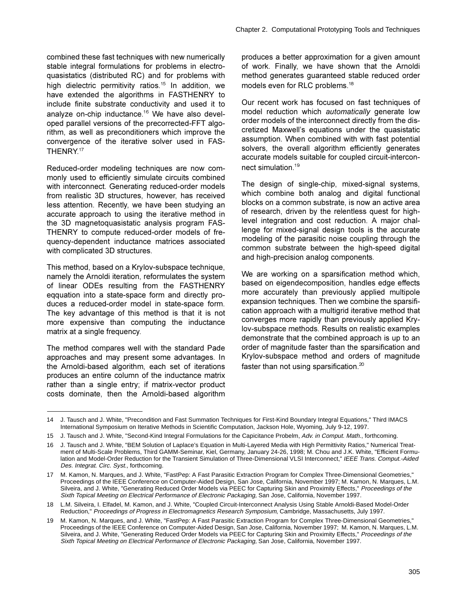combined these fast techniques with new numerically stable integral formulations for problems in electroquasistatics (distributed RC) and for problems with high dielectric permitivity ratios.<sup>15</sup> In addition, we have extended the algorithms in FASTHENRY to include finite substrate conductivity and used it to analyze on-chip inductance.<sup>16</sup> We have also developed parallel versions of the precorrected-FFT algorithm, as well as preconditioners which improve the convergence of the iterative solver used in FAS-THENRY<sup>17</sup>

Reduced-order modeling techniques are now commonly used to efficiently simulate circuits combined with interconnect. Generating reduced-order models from realistic 3D structures, however, has received less attention. Recently, we have been studying an accurate approach to using the iterative method in the 3D magnetoquasistatic analysis program FAS-THENRY to compute reduced-order models of frequency-dependent inductance matrices associated with complicated 3D structures.

This method, based on a Krylov-subspace technique, namely the Arnoldi iteration, reformulates the system of linear ODEs resulting from the FASTHENRY eqquation into a state-space form and directly produces a reduced-order model in state-space form. The key advantage of this method is that it is not more expensive than computing the inductance matrix at a single frequency.

The method compares well with the standard Pade approaches and may present some advantages. In the Arnoldi-based algorithm, each set of iterations produces an entire column of the inductance matrix rather than a single entry; if matrix-vector product costs dominate, then the Arnoldi-based algorithm

produces a better approximation for a given amount of work. Finally, we have shown that the Arnoldi method generates guaranteed stable reduced order models even for RLC problems.<sup>18</sup>

Our recent work has focused on fast techniques of model reduction which *automatically* generate low order models of the interconnect directly from the discretized Maxwell's equations under the quasistatic assumption. When combined with with fast potential solvers, the overall algorithm efficiently generates accurate models suitable for coupled circuit-interconnect simulation.<sup>19</sup>

The design of single-chip, mixed-signal systems, which combine both analog and digital functional blocks on a common substrate, is now an active area of research, driven by the relentless quest for highlevel integration and cost reduction. A major challenge for mixed-signal design tools is the accurate modeling of the parasitic noise coupling through the common substrate between the high-speed digital and high-precision analog components.

We are working on a sparsification method which, based on eigendecomposition, handles edge effects more accurately than previously applied multipole expansion techniques. Then we combine the sparsification approach with a multigrid iterative method that converges more rapidly than previously applied Krylov-subspace methods. Results on realistic examples demonstrate that the combined approach is up to an order of magnitude faster than the sparsification and Krylov-subspace method and orders of magnitude faster than not using sparsification.<sup>20</sup>

<sup>14</sup> J. Tausch and J. White, "Precondition and Fast Summation Techniques for First-Kind Boundary Integral Equations," Third IMACS International Symposium on Iterative Methods in Scientific Computation, Jackson Hole, Wyoming, July 9-12, 1997.

<sup>15</sup> J. Tausch and J. White, "Second-Kind Integral Formulations for the Capicitance Probelm, Adv. in Comput. Math., forthcoming.

<sup>16</sup> J. Tausch and J. White, "BEM Solution of Laplace's Equation in Multi-Layered Media with High Permittivity Ratios," Numerical Treatment of Multi-Scale Problems, Third GAMM-Seminar, Kiel, Germany, January 24-26, 1998; M. Chou and J.K. White, "Efficient Formulation and Model-Order Reduction for the Transient Simulation of Three-Dimensional VLSI Interconnect," IEEE Trans. Comput.-Aided Des. Integrat. Circ. Syst., forthcoming.

M. Kamon, N. Marques, and J. White, "FastPep: A Fast Parasitic Extraction Program for Complex Three-Dimensional Geometries,'  $17$ Proceedings of the IEEE Conference on Computer-Aided Design, San Jose, California, November 1997; M. Kamon, N. Marques, L.M. Silveira, and J. White, "Generating Reduced Order Models via PEEC for Capturing Skin and Proximity Effects," Proceedings of the Sixth Topical Meeting on Electrical Performance of Electronic Packaging, San Jose, California, November 1997.

<sup>18</sup> L.M. Silveira, I. Elfadel, M. Kamon, and J. White, "Coupled Circuit-Interconnect Analysis Using Stable Arnoldi-Based Model-Order Reduction," Proceedings of Progress in Electromagnetics Research Symposium, Cambridge, Massachusetts, July 1997.

M. Kamon, N. Marques, and J. White, "FastPep: A Fast Parasitic Extraction Program for Complex Three-Dimensional Geometries," 19 Proceedings of the IEEE Conference on Computer-Aided Design, San Jose, California, November 1997; M. Kamon, N. Marques, L.M. Silveira, and J. White, "Generating Reduced Order Models via PEEC for Capturing Skin and Proximity Effects," Proceedings of the Sixth Topical Meeting on Electrical Performance of Electronic Packaging, San Jose, California, November 1997.